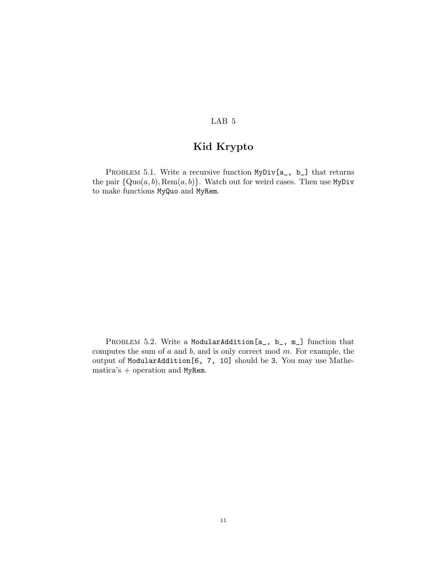## LAB 5

# Kid Krypto

PROBLEM 5.1. Write a recursive function MyDiv[a\_, b\_] that returns the pair  $\{Quo(a, b), \text{Rem}(a, b)\}.$  Watch out for weird cases. Then use MyDiv to make functions MyQuo and MyRem.

PROBLEM 5.2. Write a ModularAddition[a\_, b\_, m\_] function that computes the sum of  $a$  and  $b$ , and is only correct mod  $m$ . For example, the output of ModularAddition[6, 7, 10] should be 3. You may use Mathematica's + operation and MyRem.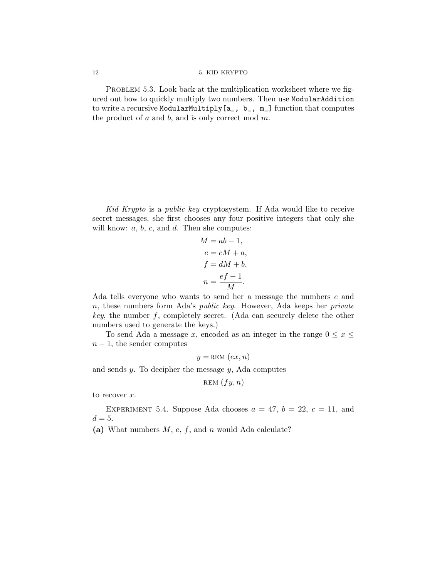#### 12 5. KID KRYPTO

PROBLEM 5.3. Look back at the multiplication worksheet where we figured out how to quickly multiply two numbers. Then use ModularAddition to write a recursive ModularMultiply[a\_, b\_, m\_] function that computes the product of  $a$  and  $b$ , and is only correct mod  $m$ .

Kid Krypto is a public key cryptosystem. If Ada would like to receive secret messages, she first chooses any four positive integers that only she will know:  $a, b, c,$  and  $d$ . Then she computes:

$$
M = ab - 1,
$$
  
\n
$$
e = cM + a,
$$
  
\n
$$
f = dM + b,
$$
  
\n
$$
n = \frac{ef - 1}{M}.
$$

Ada tells everyone who wants to send her a message the numbers e and n, these numbers form Ada's public key. However, Ada keeps her private key, the number f, completely secret. (Ada can securely delete the other numbers used to generate the keys.)

To send Ada a message x, encoded as an integer in the range  $0 \le x \le$  $n-1$ , the sender computes

$$
y = \text{REM}(ex, n)
$$

and sends y. To decipher the message y, Ada computes

$$
\text{REM}\,\left(fy,n\right)
$$

to recover  $x$ .

EXPERIMENT 5.4. Suppose Ada chooses  $a = 47$ ,  $b = 22$ ,  $c = 11$ , and  $d=5$ .

(a) What numbers  $M$ ,  $e$ ,  $f$ , and  $n$  would Ada calculate?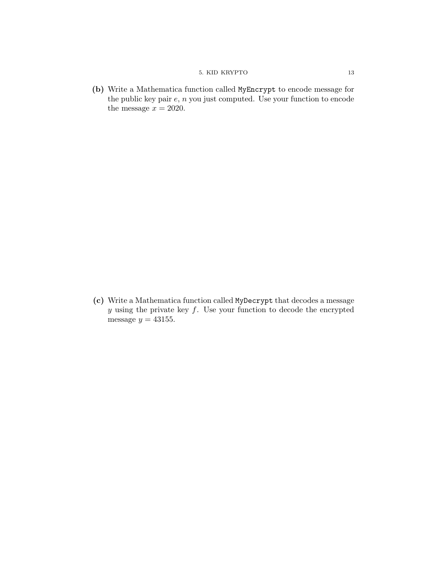## 5. KID KRYPTO 13

(b) Write a Mathematica function called MyEncrypt to encode message for the public key pair  $e$ ,  $n$  you just computed. Use your function to encode the message  $x = 2020$ .

(c) Write a Mathematica function called MyDecrypt that decodes a message  $y$  using the private key  $f$ . Use your function to decode the encrypted message  $y = 43155$ .